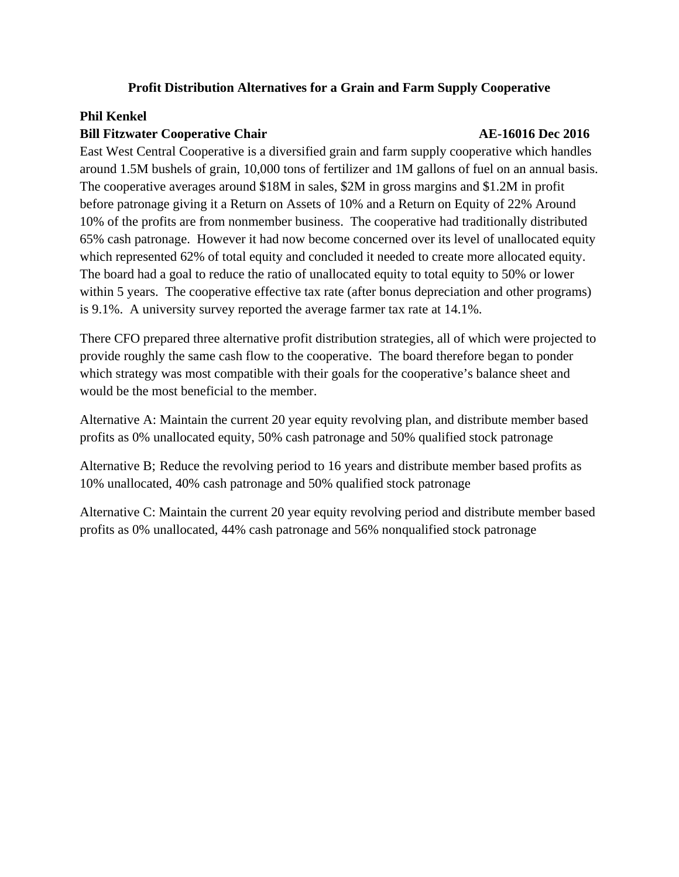## **Profit Distribution Alternatives for a Grain and Farm Supply Cooperative**

## **Phil Kenkel**

## **Bill Fitzwater Cooperative Chair 1996 12016 12016 12016 12016 12016 12016 12016 12016 12016 12016**

East West Central Cooperative is a diversified grain and farm supply cooperative which handles around 1.5M bushels of grain, 10,000 tons of fertilizer and 1M gallons of fuel on an annual basis. The cooperative averages around \$18M in sales, \$2M in gross margins and \$1.2M in profit before patronage giving it a Return on Assets of 10% and a Return on Equity of 22% Around 10% of the profits are from nonmember business. The cooperative had traditionally distributed 65% cash patronage. However it had now become concerned over its level of unallocated equity which represented 62% of total equity and concluded it needed to create more allocated equity. The board had a goal to reduce the ratio of unallocated equity to total equity to 50% or lower within 5 years. The cooperative effective tax rate (after bonus depreciation and other programs) is 9.1%. A university survey reported the average farmer tax rate at 14.1%.

There CFO prepared three alternative profit distribution strategies, all of which were projected to provide roughly the same cash flow to the cooperative. The board therefore began to ponder which strategy was most compatible with their goals for the cooperative's balance sheet and would be the most beneficial to the member.

Alternative A: Maintain the current 20 year equity revolving plan, and distribute member based profits as 0% unallocated equity, 50% cash patronage and 50% qualified stock patronage

Alternative B; Reduce the revolving period to 16 years and distribute member based profits as 10% unallocated, 40% cash patronage and 50% qualified stock patronage

Alternative C: Maintain the current 20 year equity revolving period and distribute member based profits as 0% unallocated, 44% cash patronage and 56% nonqualified stock patronage